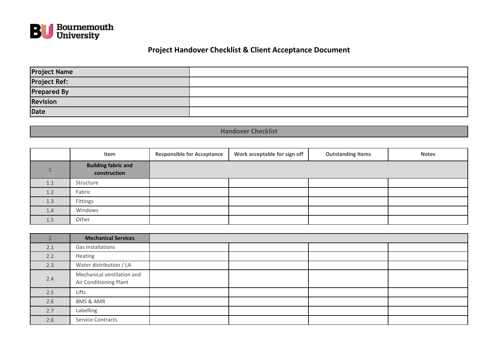

## **Project Handover Checklist & Client Acceptance Document**

| <b>Project Name</b>     |  |
|-------------------------|--|
| Project Ref:            |  |
| Prepared By<br>Revision |  |
|                         |  |
| Date                    |  |

**Handover Checklist**

|     | Item                                       | <b>Responsible for Acceptance</b> | Work acceptable for sign off | <b>Outstanding Items</b> | <b>Notes</b> |
|-----|--------------------------------------------|-----------------------------------|------------------------------|--------------------------|--------------|
|     | <b>Building fabric and</b><br>construction |                                   |                              |                          |              |
| 1.1 | Structure                                  |                                   |                              |                          |              |
| 1.2 | Fabric                                     |                                   |                              |                          |              |
| 1.3 | Fittings                                   |                                   |                              |                          |              |
| 1.4 | Windows                                    |                                   |                              |                          |              |
| 1.5 | Other                                      |                                   |                              |                          |              |

|     | <b>Mechanical Services</b>                           |  |  |
|-----|------------------------------------------------------|--|--|
| 2.1 | Gas Installations                                    |  |  |
| 2.2 | Heating                                              |  |  |
| 2.3 | Water distribution / LA                              |  |  |
| 2.4 | Mechanical ventilation and<br>Air Conditioning Plant |  |  |
| 2.5 | Lifts                                                |  |  |
| 2.6 | <b>BMS &amp; AMR</b>                                 |  |  |
| 2.7 | Labelling                                            |  |  |
| 2.8 | Service Contracts                                    |  |  |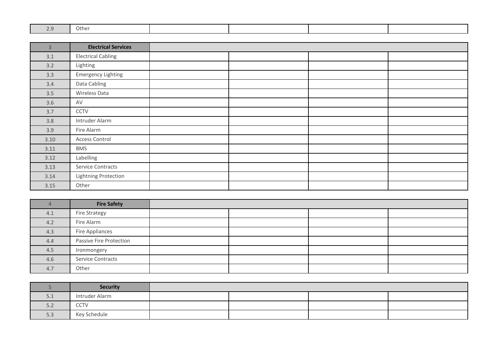| $\sim$ $\sim$<br>$\sim$ | Other |  |  |
|-------------------------|-------|--|--|

| $\overline{3}$ | <b>Electrical Services</b> |  |  |
|----------------|----------------------------|--|--|
| 3.1            | <b>Electrical Cabling</b>  |  |  |
| 3.2            | Lighting                   |  |  |
| 3.3            | <b>Emergency Lighting</b>  |  |  |
| 3.4            | Data Cabling               |  |  |
| 3.5            | Wireless Data              |  |  |
| 3.6            | AV                         |  |  |
| 3.7            | CCTV                       |  |  |
| 3.8            | Intruder Alarm             |  |  |
| 3.9            | Fire Alarm                 |  |  |
| 3.10           | Access Control             |  |  |
| 3.11           | <b>BMS</b>                 |  |  |
| 3.12           | Labelling                  |  |  |
| 3.13           | Service Contracts          |  |  |
| 3.14           | Lightning Protection       |  |  |
| 3.15           | Other                      |  |  |

|     | <b>Fire Safety</b>       |  |  |
|-----|--------------------------|--|--|
| 4.1 | <b>Fire Strategy</b>     |  |  |
| 4.2 | Fire Alarm               |  |  |
| 4.3 | Fire Appliances          |  |  |
| 4.4 | Passive Fire Protection  |  |  |
| 4.5 | Ironmongery              |  |  |
| 4.6 | <b>Service Contracts</b> |  |  |
| 4.7 | Other                    |  |  |

|     | <b>Security</b> |  |  |
|-----|-----------------|--|--|
| 5.1 | Intruder Alarm  |  |  |
| 5.2 | CCTV            |  |  |
| 5.3 | Key Schedule    |  |  |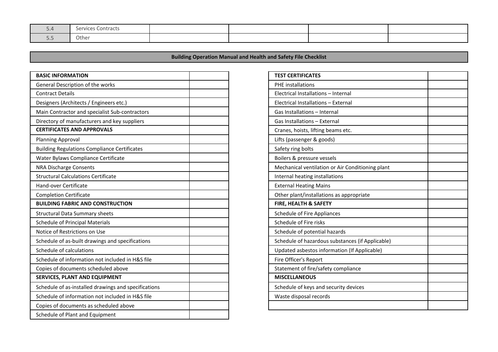| J.4                     | Services Contracts |  |  |
|-------------------------|--------------------|--|--|
| $ -$<br>$\cup$ . $\cup$ | Other              |  |  |

**Building Operation Manual and Health and Safety File Checklist**

| <b>BASIC INFORMATION</b>                             | <b>TEST CERTIFICATES</b>      |
|------------------------------------------------------|-------------------------------|
| General Description of the works                     | <b>PHE</b> installations      |
| <b>Contract Details</b>                              | <b>Electrical Installatic</b> |
| Designers (Architects / Engineers etc.)              | <b>Electrical Installatio</b> |
| Main Contractor and specialist Sub-contractors       | Gas Installations-I           |
| Directory of manufacturers and key suppliers         | Gas Installations-I           |
| <b>CERTIFICATES AND APPROVALS</b>                    | Cranes, hoists, liftir        |
| <b>Planning Approval</b>                             | Lifts (passenger & g          |
| <b>Building Regulations Compliance Certificates</b>  | Safety ring bolts             |
| Water Bylaws Compliance Certificate                  | Boilers & pressure            |
| <b>NRA Discharge Consents</b>                        | Mechanical ventila            |
| <b>Structural Calculations Certificate</b>           | Internal heating ins          |
| Hand-over Certificate                                | <b>External Heating M</b>     |
| <b>Completion Certificate</b>                        | Other plant/installa          |
| <b>BUILDING FABRIC AND CONSTRUCTION</b>              | FIRE, HEALTH & SA             |
| <b>Structural Data Summary sheets</b>                | Schedule of Fire Ap           |
| <b>Schedule of Principal Materials</b>               | Schedule of Fire ris          |
| Notice of Restrictions on Use                        | Schedule of potent            |
| Schedule of as-built drawings and specifications     | Schedule of hazard            |
| Schedule of calculations                             | Updated asbestos i            |
| Schedule of information not included in H&S file     | Fire Officer's Repor          |
| Copies of documents scheduled above                  | Statement of fire/s           |
| SERVICES, PLANT AND EQUIPMENT                        | <b>MISCELLANEOUS</b>          |
| Schedule of as-installed drawings and specifications | Schedule of keys ar           |
| Schedule of information not included in H&S file     | Waste disposal rec            |
| Copies of documents as scheduled above               |                               |
| Schedule of Plant and Equipment                      |                               |

| <b>TEST CERTIFICATES</b>                         |  |
|--------------------------------------------------|--|
| <b>PHE</b> installations                         |  |
| Electrical Installations - Internal              |  |
| Electrical Installations - External              |  |
| Gas Installations - Internal                     |  |
| Gas Installations - External                     |  |
| Cranes, hoists, lifting beams etc.               |  |
| Lifts (passenger & goods)                        |  |
| Safety ring bolts                                |  |
| Boilers & pressure vessels                       |  |
| Mechanical ventilation or Air Conditioning plant |  |
| Internal heating installations                   |  |
| <b>External Heating Mains</b>                    |  |
| Other plant/installations as appropriate         |  |
| FIRE, HEALTH & SAFETY                            |  |
| Schedule of Fire Appliances                      |  |
| Schedule of Fire risks                           |  |
| Schedule of potential hazards                    |  |
| Schedule of hazardous substances (if Applicable) |  |
| Updated asbestos information (If Applicable)     |  |
| Fire Officer's Report                            |  |
| Statement of fire/safety compliance              |  |
| <b>MISCELLANEOUS</b>                             |  |
| Schedule of keys and security devices            |  |
| Waste disposal records                           |  |
|                                                  |  |